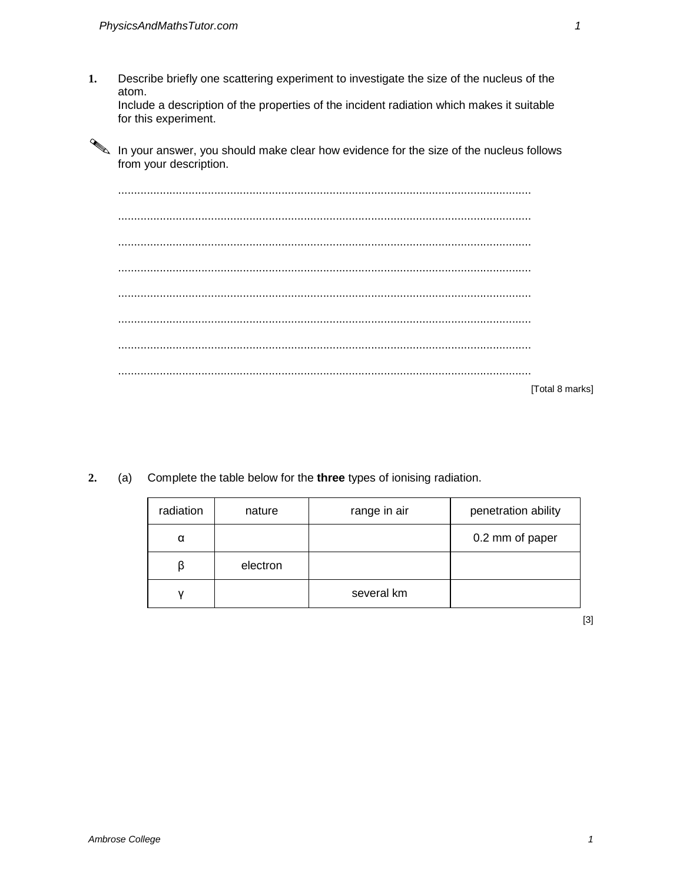Describe briefly one scattering experiment to investigate the size of the nucleus of the 1. atom.

Include a description of the properties of the incident radiation which makes it suitable for this experiment.

In your answer, you should make clear how evidence for the size of the nucleus follows from your description.

[Total 8 marks]

 $2.$ Complete the table below for the three types of ionising radiation.  $(a)$ 

| radiation | nature   | range in air | penetration ability |
|-----------|----------|--------------|---------------------|
| α         |          |              | 0.2 mm of paper     |
| ß         | electron |              |                     |
|           |          | several km   |                     |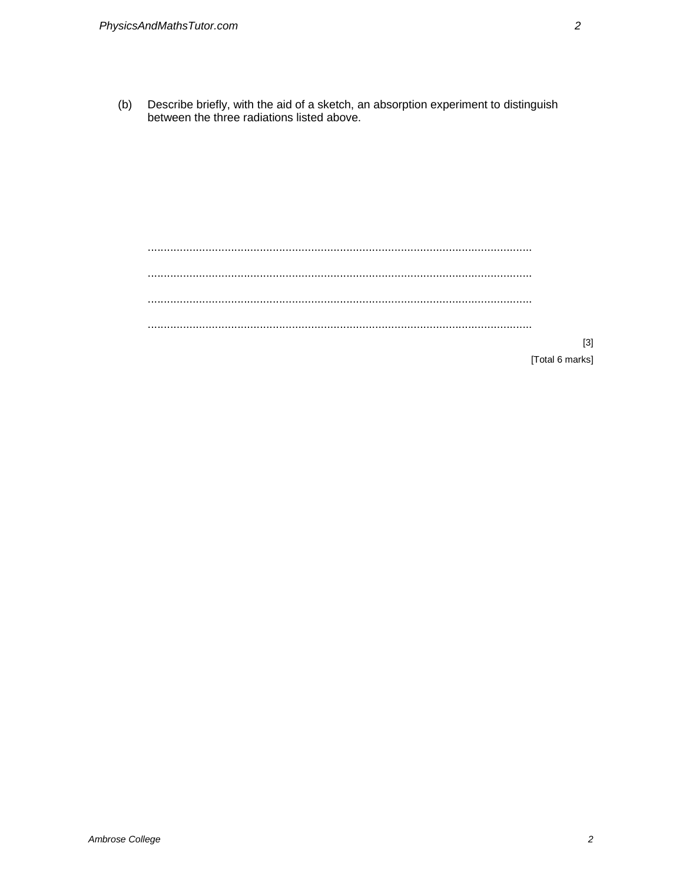Describe briefly, with the aid of a sketch, an absorption experiment to distinguish  $(b)$ between the three radiations listed above.

[Total 6 marks]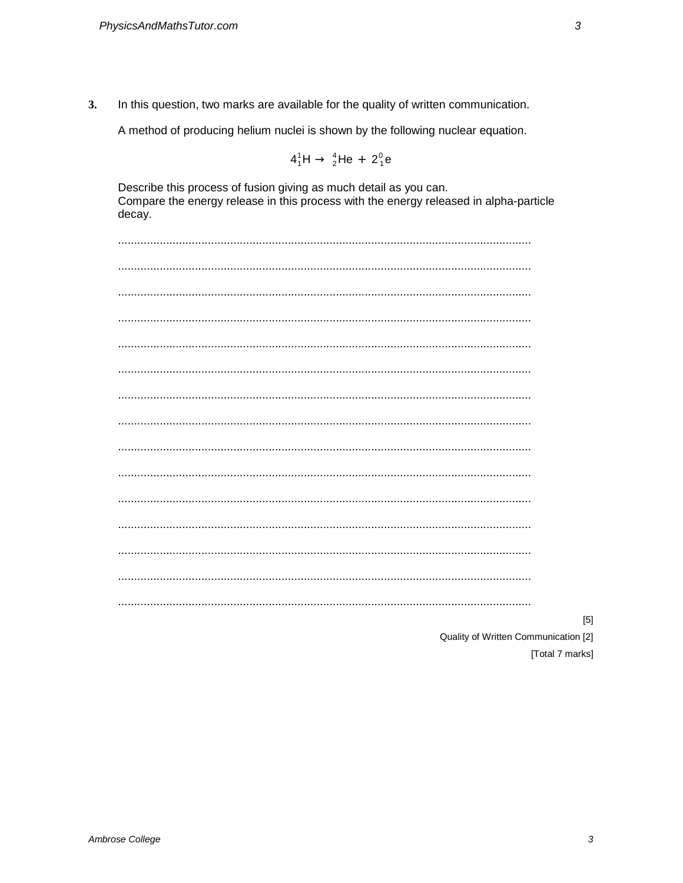$3.$ In this question, two marks are available for the quality of written communication.

A method of producing helium nuclei is shown by the following nuclear equation.

$$
4_1^1H \rightarrow \frac{4}{2}He + 2_1^0e
$$

Describe this process of fusion giving as much detail as you can. Compare the energy release in this process with the energy released in alpha-particle decay.

Quality of Written Communication [2]

[Total 7 marks]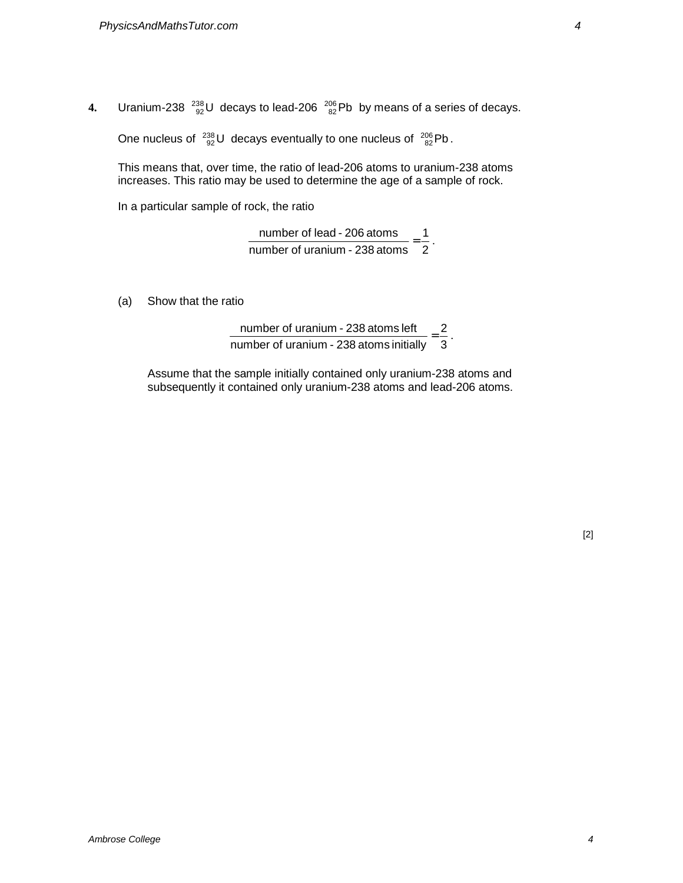**4.** Uranium-238  $^{238}_{92}$ U decays to lead-206  $^{206}_{82}$ Pb by means of a series of decays.

One nucleus of  $^{238}_{92}$ U decays eventually to one nucleus of  $^{206}_{82}$ Pb.

This means that, over time, the ratio of lead-206 atoms to uranium-238 atoms increases. This ratio may be used to determine the age of a sample of rock.

In a particular sample of rock, the ratio

2 1 number of uranium - 238 atoms number of lead - 206 atoms  $=$   $\frac{1}{2}$ .

(a) Show that the ratio

3 2 number of uranium - 238 atoms initially number of uranium - 238 atoms left  $=$   $\frac{2}{6}$ 

Assume that the sample initially contained only uranium-238 atoms and subsequently it contained only uranium-238 atoms and lead-206 atoms.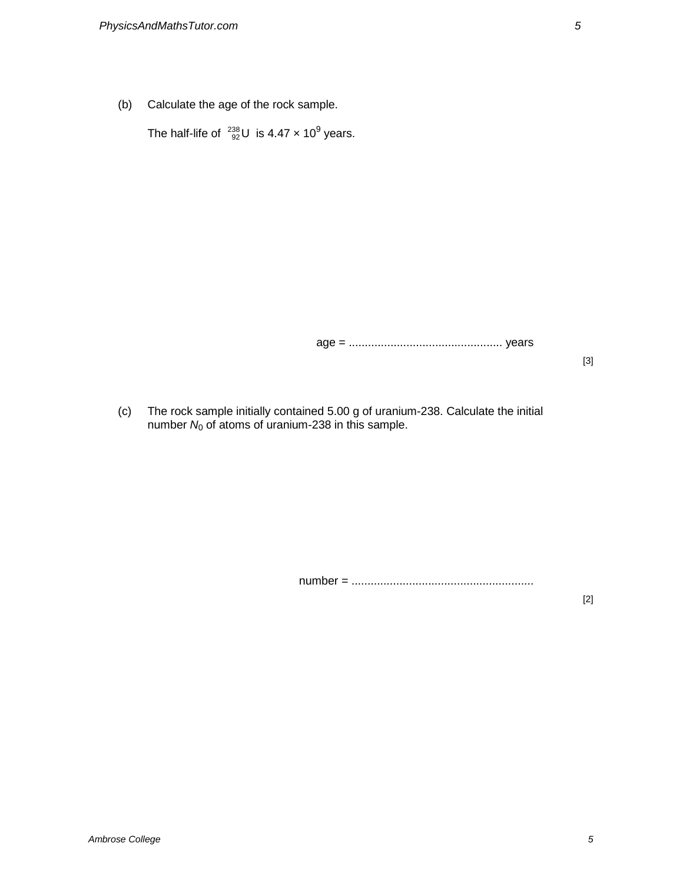(b) Calculate the age of the rock sample.

The half-life of  $^{238}_{92}$ U is 4.47 x 10<sup>9</sup> years.

age = ................................................ years

[3]

(c) The rock sample initially contained 5.00 g of uranium-238. Calculate the initial number  $N_0$  of atoms of uranium-238 in this sample.

number = .........................................................

[2]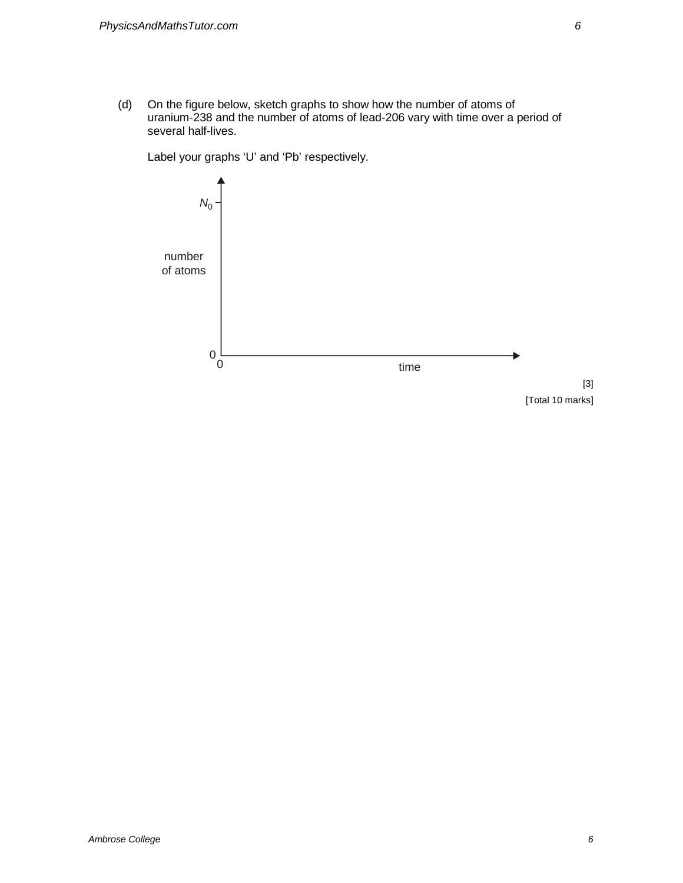(d) On the figure below, sketch graphs to show how the number of atoms of uranium-238 and the number of atoms of lead-206 vary with time over a period of several half-lives.



Label your graphs 'U' and 'Pb' respectively.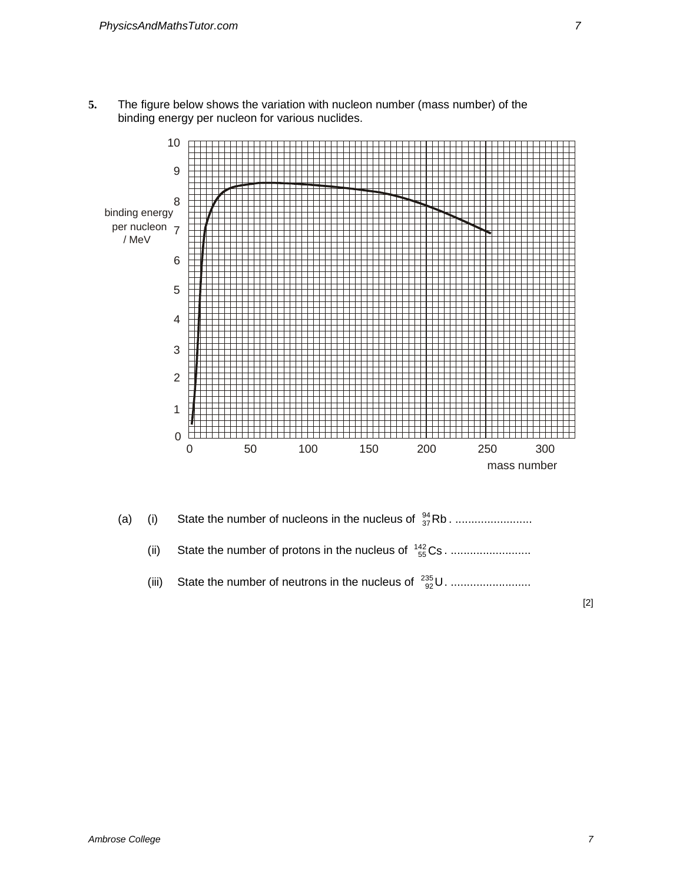**5.** The figure below shows the variation with nucleon number (mass number) of the binding energy per nucleon for various nuclides.





(iii) State the number of neutrons in the nucleus of  $\frac{^{235}}{^{92}}$ U. ............................

[2]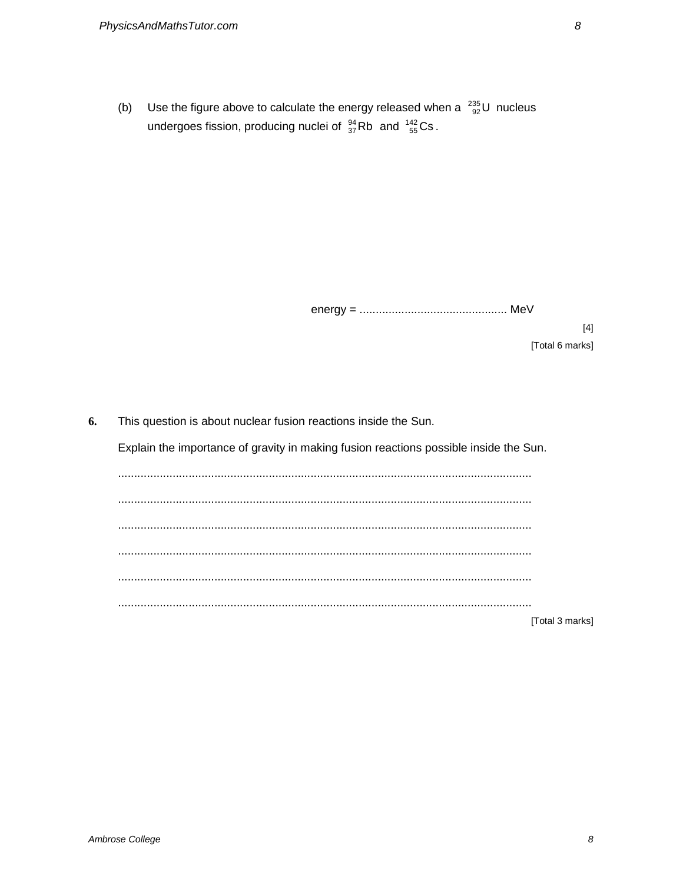Use the figure above to calculate the energy released when a  $^{235}_{92}$ U nucleus  $(b)$ undergoes fission, producing nuclei of  $^{94}_{37}$ Rb and  $^{142}_{55}$ Cs.

 $[4]$ [Total 6 marks]

| 6. | This question is about nuclear fusion reactions inside the Sun.                       |  |  |  |
|----|---------------------------------------------------------------------------------------|--|--|--|
|    | Explain the importance of gravity in making fusion reactions possible inside the Sun. |  |  |  |
|    |                                                                                       |  |  |  |
|    |                                                                                       |  |  |  |
|    |                                                                                       |  |  |  |
|    |                                                                                       |  |  |  |
|    |                                                                                       |  |  |  |
|    |                                                                                       |  |  |  |
|    | [Total 3 marks]                                                                       |  |  |  |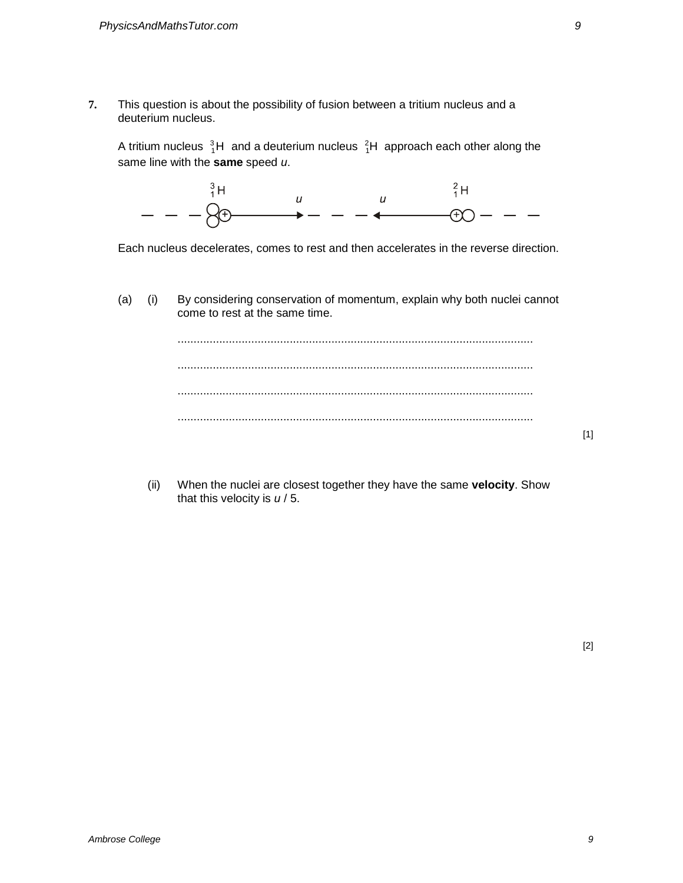**7.** This question is about the possibility of fusion between a tritium nucleus and a deuterium nucleus.

A tritium nucleus  $\frac{3}{1}$ H and a deuterium nucleus  $\frac{2}{1}$ H approach each other along the same line with the **same** speed u.



Each nucleus decelerates, comes to rest and then accelerates in the reverse direction.

(a) (i) By considering conservation of momentum, explain why both nuclei cannot come to rest at the same time.



(ii) When the nuclei are closest together they have the same **velocity**. Show that this velocity is  $u/5$ .

[1]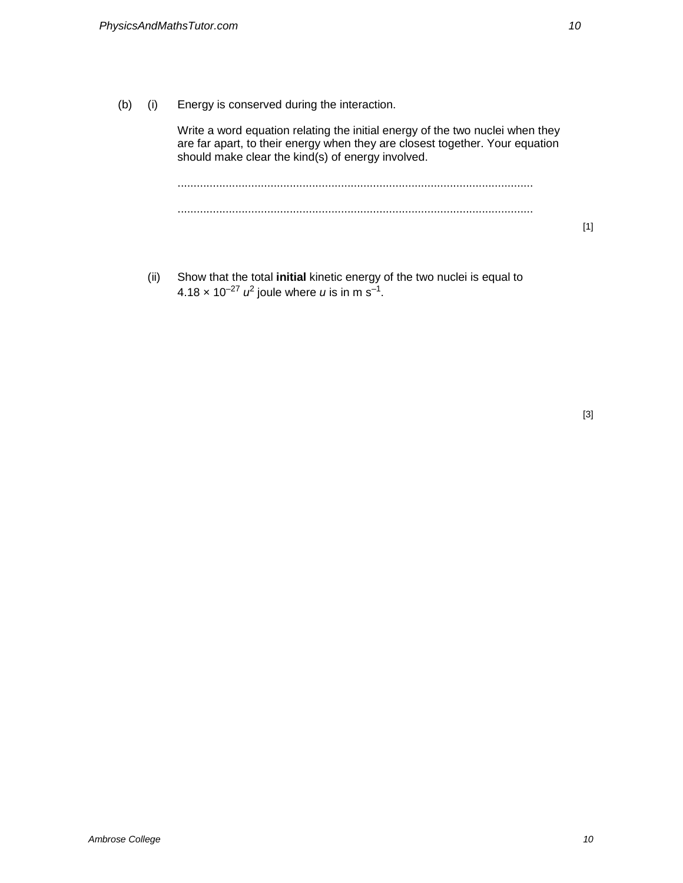(b) (i) Energy is conserved during the interaction.

Write a word equation relating the initial energy of the two nuclei when they are far apart, to their energy when they are closest together. Your equation should make clear the kind(s) of energy involved.

............................................................................................................... ...............................................................................................................

- [1]
- (ii) Show that the total **initial** kinetic energy of the two nuclei is equal to 4.18  $\times$  10<sup>-27</sup>  $u^2$  joule where  $u$  is in m s<sup>-1</sup>.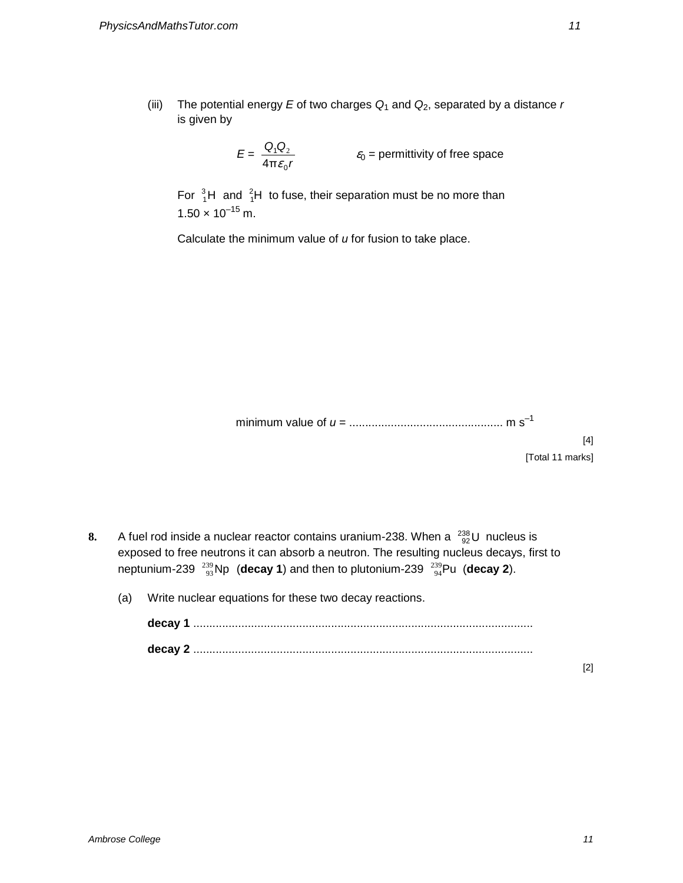(iii) The potential energy E of two charges  $Q_1$  and  $Q_2$ , separated by a distance r is given by

$$
E = \frac{Q_1 Q_2}{4 \pi \varepsilon_0 r}
$$
  $\varepsilon_0$  = permittivity of free space

For  $\frac{3}{1}$ H and  $\frac{2}{1}$ H to fuse, their separation must be no more than  $1.50 \times 10^{-15}$  m.

Calculate the minimum value of  $u$  for fusion to take place.

minimum value of u = ................................................ m s–1

[4] [Total 11 marks]

- **8.** A fuel rod inside a nuclear reactor contains uranium-238. When a  $^{238}_{92}$ U nucleus is exposed to free neutrons it can absorb a neutron. The resulting nucleus decays, first to neptunium-239  $^{239}_{93}$ Np (**decay 1**) and then to plutonium-239  $^{239}_{94}$ Pu (**decay 2**).
	- (a) Write nuclear equations for these two decay reactions.

| decay 1 |  |
|---------|--|
|         |  |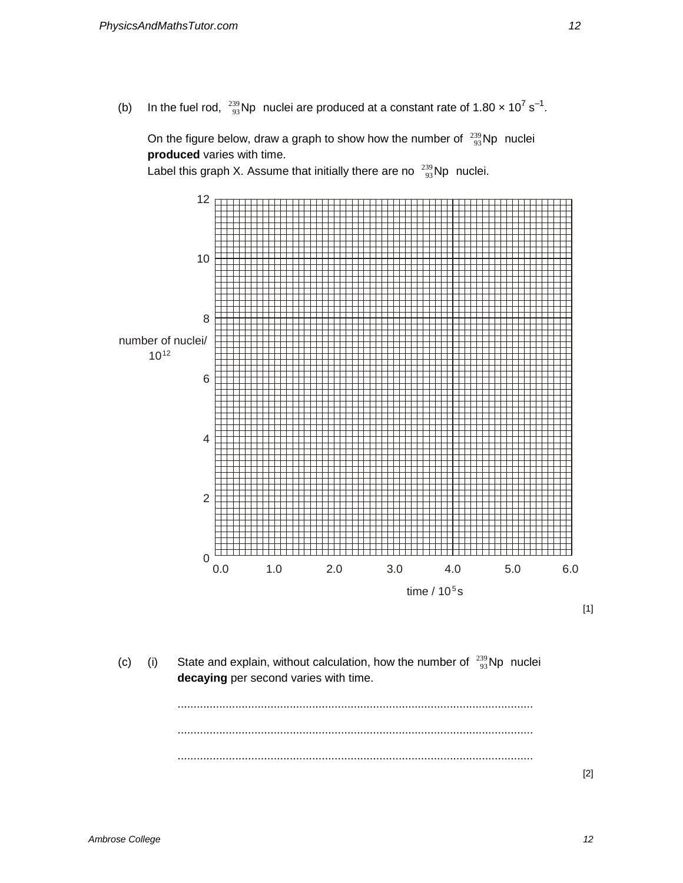(b) In the fuel rod,  $^{239}_{93}$ Np nuclei are produced at a constant rate of 1.80  $\times$  10<sup>7</sup> s<sup>-1</sup>.

On the figure below, draw a graph to show how the number of  $\frac{^{239}}{93}$ Np nuclei **produced** varies with time.

Label this graph X. Assume that initially there are no  $\frac{239}{93}$ Np nuclei.



- [1]
- (c) (i) State and explain, without calculation, how the number of  $\frac{239}{93}$ Np nuclei **decaying** per second varies with time.

............................................................................................................... ............................................................................................................... ...............................................................................................................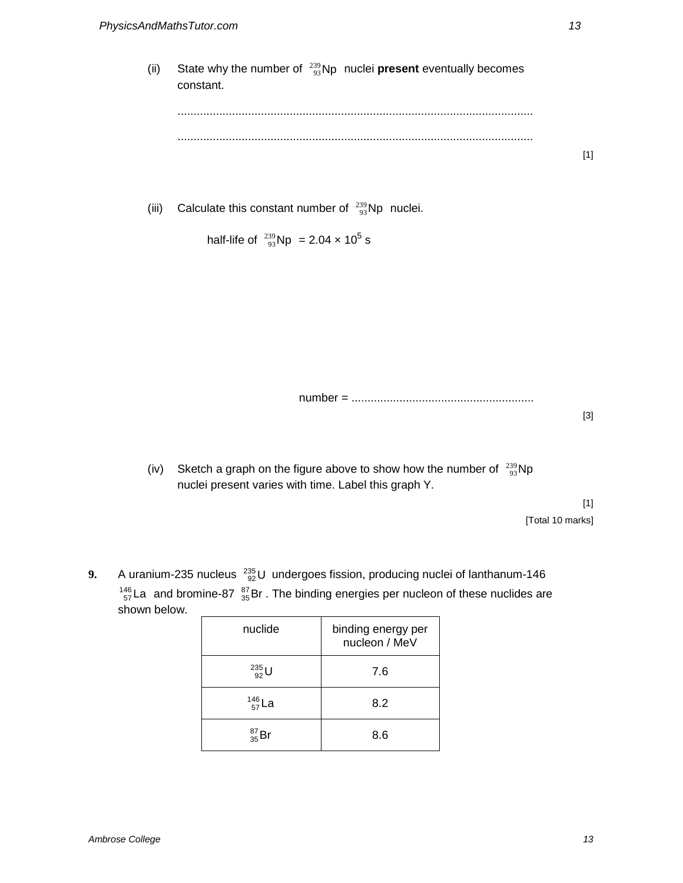(ii) State why the number of  $\frac{239}{93}$ Np nuclei **present** eventually becomes constant. ............................................................................................................... ............................................................................................................... [1]

(iii) Calculate this constant number of  $\frac{239}{93}$ Np nuclei.

half-life of  $^{239}_{93}$ Np = 2.04  $\times$  10<sup>5</sup> s

number = ......................................................... [3]

(iv) Sketch a graph on the figure above to show how the number of  $\frac{239}{93}$ Np nuclei present varies with time. Label this graph Y.

> [1] [Total 10 marks]

**9.** A uranium-235 nucleus  $^{235}_{92}$ U undergoes fission, producing nuclei of lanthanum-146  $^{146}_{57}$ La and bromine-87  $^{87}_{35}$ Br. The binding energies per nucleon of these nuclides are shown below.

| nuclide            | binding energy per<br>nucleon / MeV |
|--------------------|-------------------------------------|
| $^{235}_{92}$ U    | 7.6                                 |
| $^{146}_{\ 57}$ La | 8.2                                 |
| $^{87}_{35}Br$     | 8.6                                 |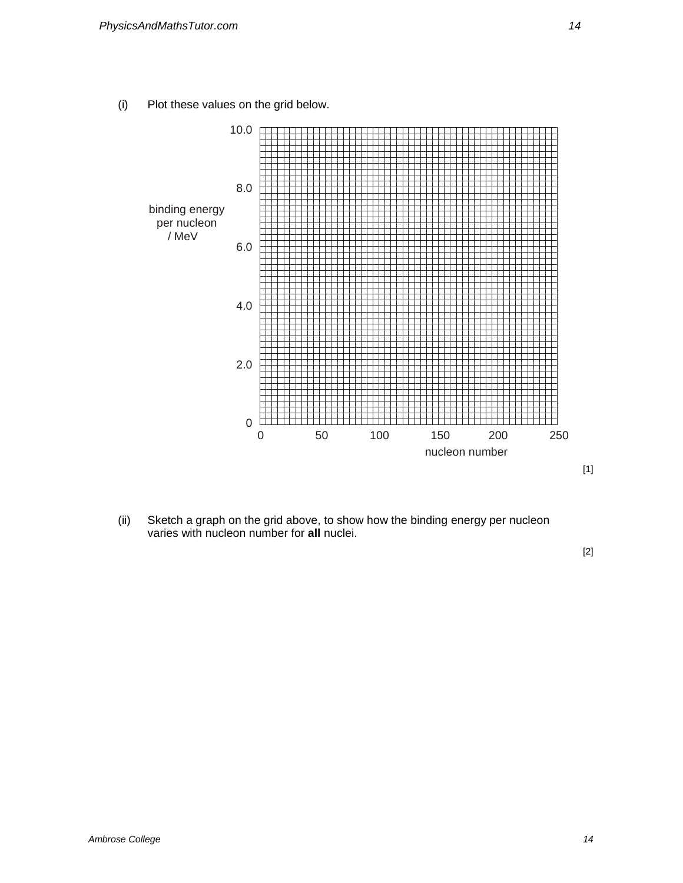(i) Plot these values on the grid below.



(ii) Sketch a graph on the grid above, to show how the binding energy per nucleon varies with nucleon number for **all** nuclei.

[2]